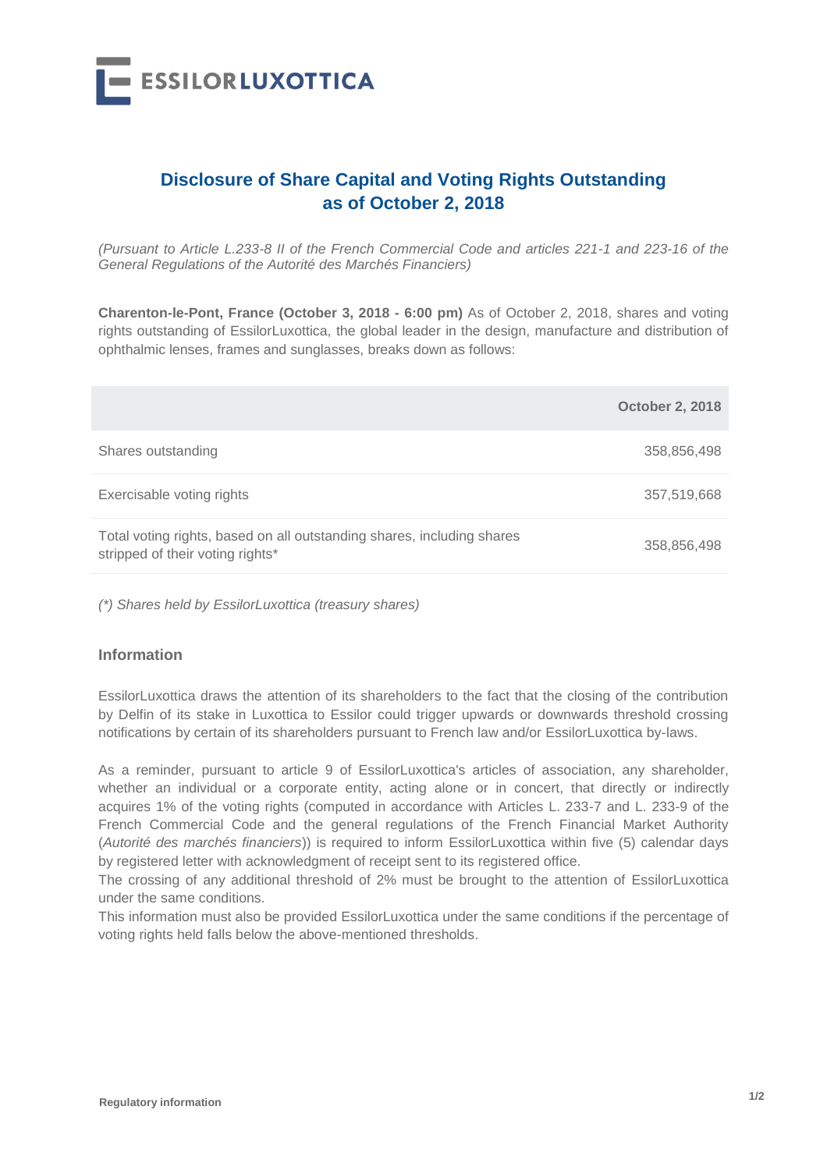

## **Disclosure of Share Capital and Voting Rights Outstanding as of October 2, 2018**

*(Pursuant to Article L.233-8 II of the French Commercial Code and articles 221-1 and 223-16 of the General Regulations of the Autorité des Marchés Financiers)*

**Charenton-le-Pont, France (October 3, 2018 - 6:00 pm)** As of October 2, 2018, shares and voting rights outstanding of EssilorLuxottica, the global leader in the design, manufacture and distribution of ophthalmic lenses, frames and sunglasses, breaks down as follows:

|                                                                                                            | <b>October 2, 2018</b> |
|------------------------------------------------------------------------------------------------------------|------------------------|
| Shares outstanding                                                                                         | 358,856,498            |
| Exercisable voting rights                                                                                  | 357,519,668            |
| Total voting rights, based on all outstanding shares, including shares<br>stripped of their voting rights* | 358,856,498            |

*(\*) Shares held by EssilorLuxottica (treasury shares)*

## **Information**

EssilorLuxottica draws the attention of its shareholders to the fact that the closing of the contribution by Delfin of its stake in Luxottica to Essilor could trigger upwards or downwards threshold crossing notifications by certain of its shareholders pursuant to French law and/or EssilorLuxottica by-laws.

As a reminder, pursuant to article 9 of EssilorLuxottica's articles of association, any shareholder, whether an individual or a corporate entity, acting alone or in concert, that directly or indirectly acquires 1% of the voting rights (computed in accordance with Articles L. 233-7 and L. 233-9 of the French Commercial Code and the general regulations of the French Financial Market Authority (*Autorité des marchés financiers*)) is required to inform EssilorLuxottica within five (5) calendar days by registered letter with acknowledgment of receipt sent to its registered office.

The crossing of any additional threshold of 2% must be brought to the attention of EssilorLuxottica under the same conditions.

This information must also be provided EssilorLuxottica under the same conditions if the percentage of voting rights held falls below the above-mentioned thresholds.